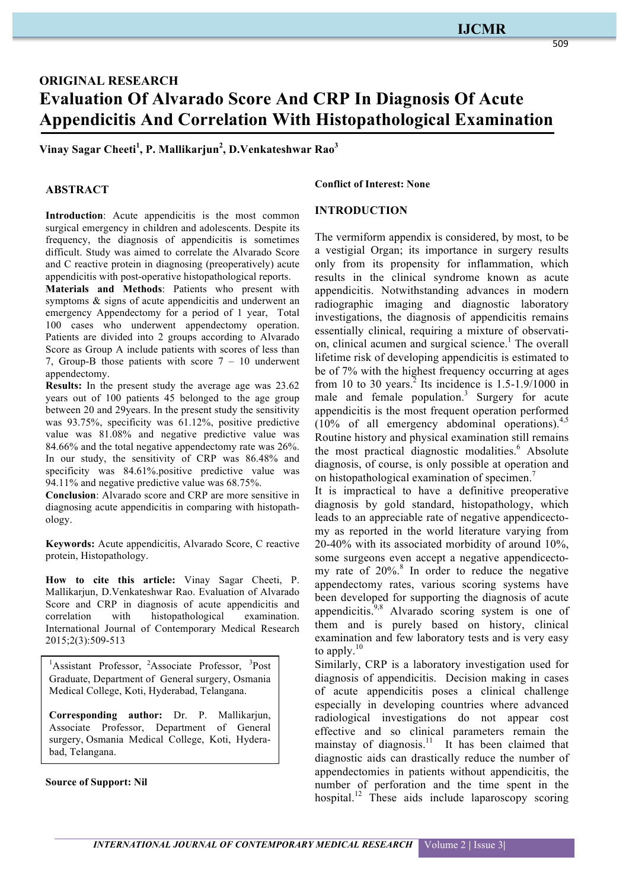# **IJCMR**

509

# **ORIGINAL RESEARCH Evaluation Of Alvarado Score And CRP In Diagnosis Of Acute Appendicitis And Correlation With Histopathological Examination**

**Vinay Sagar Cheeti<sup>1</sup> , P. Mallikarjun<sup>2</sup> , D.Venkateshwar Rao<sup>3</sup>**

## **ABSTRACT**

**Introduction**: Acute appendicitis is the most common surgical emergency in children and adolescents. Despite its frequency, the diagnosis of appendicitis is sometimes difficult. Study was aimed to correlate the Alvarado Score and C reactive protein in diagnosing (preoperatively) acute appendicitis with post-operative histopathological reports.

**Materials and Methods**: Patients who present with symptoms & signs of acute appendicitis and underwent an emergency Appendectomy for a period of 1 year, Total 100 cases who underwent appendectomy operation. Patients are divided into 2 groups according to Alvarado Score as Group A include patients with scores of less than 7, Group-B those patients with score  $7 - 10$  underwent appendectomy.

**Results:** In the present study the average age was 23.62 years out of 100 patients 45 belonged to the age group between 20 and 29years. In the present study the sensitivity was 93.75%, specificity was 61.12%, positive predictive value was 81.08% and negative predictive value was 84.66% and the total negative appendectomy rate was 26%. In our study, the sensitivity of CRP was 86.48% and specificity was 84.61%, positive predictive value was 94.11% and negative predictive value was 68.75%.

**Conclusion**: Alvarado score and CRP are more sensitive in diagnosing acute appendicitis in comparing with histopathology.

**Keywords:** Acute appendicitis, Alvarado Score, C reactive protein, Histopathology.

**How to cite this article:** Vinay Sagar Cheeti, P. Mallikarjun, D.Venkateshwar Rao. Evaluation of Alvarado Score and CRP in diagnosis of acute appendicitis and correlation with histopathological examination. International Journal of Contemporary Medical Research 2015;2(3):509-513

<sup>1</sup>Assistant Professor, <sup>2</sup>Associate Professor, <sup>3</sup>Post Graduate, Department of General surgery, Osmania Medical College, Koti, Hyderabad, Telangana.

**Corresponding author:** Dr. P. Mallikarjun, Associate Professor, Department of General surgery, Osmania Medical College, Koti, Hyderabad, Telangana.

#### **Source of Support: Nil**

#### **Conflict of Interest: None**

#### **INTRODUCTION**

The vermiform appendix is considered, by most, to be a vestigial Organ; its importance in surgery results only from its propensity for inflammation, which results in the clinical syndrome known as acute appendicitis. Notwithstanding advances in modern radiographic imaging and diagnostic laboratory investigations, the diagnosis of appendicitis remains essentially clinical, requiring a mixture of observation, clinical acumen and surgical science.<sup>1</sup> The overall lifetime risk of developing appendicitis is estimated to be of 7% with the highest frequency occurring at ages from 10 to 30 years.<sup>2</sup> Its incidence is  $1.5$ -1.9/1000 in male and female population.<sup>3</sup> Surgery for acute appendicitis is the most frequent operation performed  $(10\% \text{ of all emergency abdominal operations})^{4,5}$ Routine history and physical examination still remains the most practical diagnostic modalities.<sup>6</sup> Absolute diagnosis, of course, is only possible at operation and on histopathological examination of specimen.<sup>7</sup>

It is impractical to have a definitive preoperative diagnosis by gold standard, histopathology, which leads to an appreciable rate of negative appendicectomy as reported in the world literature varying from 20-40% with its associated morbidity of around 10%, some surgeons even accept a negative appendicectomy rate of  $20\%$ .<sup>8</sup> In order to reduce the negative appendectomy rates, various scoring systems have been developed for supporting the diagnosis of acute appendicitis.<sup>9,8</sup> Alvarado scoring system is one of them and is purely based on history, clinical examination and few laboratory tests and is very easy to apply. $10$ 

Similarly, CRP is a laboratory investigation used for diagnosis of appendicitis. Decision making in cases of acute appendicitis poses a clinical challenge especially in developing countries where advanced radiological investigations do not appear cost effective and so clinical parameters remain the mainstay of diagnosis.<sup>11</sup> It has been claimed that diagnostic aids can drastically reduce the number of appendectomies in patients without appendicitis, the number of perforation and the time spent in the hospital.<sup>12</sup> These aids include laparoscopy scoring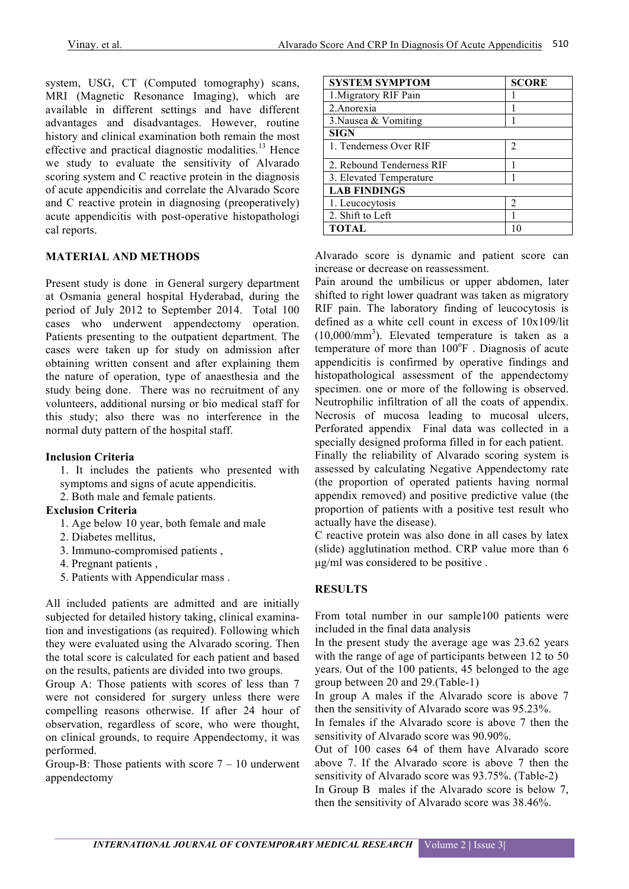system, USG, CT (Computed tomography) scans, MRI (Magnetic Resonance Imaging), which are available in different settings and have different advantages and disadvantages. However, routine history and clinical examination both remain the most effective and practical diagnostic modalities.<sup>13</sup> Hence we study to evaluate the sensitivity of Alvarado scoring system and C reactive protein in the diagnosis of acute appendicitis and correlate the Alvarado Score and C reactive protein in diagnosing (preoperatively) acute appendicitis with post-operative histopathologi cal reports.

## **MATERIAL AND METHODS**

Present study is done in General surgery department at Osmania general hospital Hyderabad, during the period of July 2012 to September 2014. Total 100 cases who underwent appendectomy operation. Patients presenting to the outpatient department. The cases were taken up for study on admission after obtaining written consent and after explaining them the nature of operation, type of anaesthesia and the study being done. There was no recruitment of any volunteers, additional nursing or bio medical staff for this study; also there was no interference in the normal duty pattern of the hospital staff.

### **Inclusion Criteria**

1. It includes the patients who presented with symptoms and signs of acute appendicitis.

2. Both male and female patients.

# **Exclusion Criteria**

- 1. Age below 10 year, both female and male
- 2. Diabetes mellitus,
- 3. Immuno-compromised patients ,
- 4. Pregnant patients ,
- 5. Patients with Appendicular mass .

All included patients are admitted and are initially subjected for detailed history taking, clinical examination and investigations (as required). Following which they were evaluated using the Alvarado scoring. Then the total score is calculated for each patient and based on the results, patients are divided into two groups.

Group A: Those patients with scores of less than 7 were not considered for surgery unless there were compelling reasons otherwise. If after 24 hour of observation, regardless of score, who were thought, on clinical grounds, to require Appendectomy, it was performed.

Group-B: Those patients with score  $7 - 10$  underwent appendectomy

| <b>SYSTEM SYMPTOM</b>     | <b>SCORE</b>   |
|---------------------------|----------------|
| 1. Migratory RIF Pain     |                |
| 2. Anorexia               |                |
| 3. Nausea $&$ Vomiting    |                |
| <b>SIGN</b>               |                |
| 1. Tenderness Over RIF    | $\mathfrak{D}$ |
| 2. Rebound Tenderness RIF |                |
| 3. Elevated Temperature   |                |
| <b>LAB FINDINGS</b>       |                |
| 1. Leucocytosis           | 2              |
| 2. Shift to Left          |                |
| <b>TOTAL</b>              | 10             |

Alvarado score is dynamic and patient score can increase or decrease on reassessment.

Pain around the umbilicus or upper abdomen, later shifted to right lower quadrant was taken as migratory RIF pain. The laboratory finding of leucocytosis is defined as a white cell count in excess of 10x109/lit  $(10,000/\text{mm}^3)$ . Elevated temperature is taken as a temperature of more than  $100^{\circ}$ F. Diagnosis of acute appendicitis is confirmed by operative findings and histopathological assessment of the appendectomy specimen. one or more of the following is observed. Neutrophilic infiltration of all the coats of appendix. Necrosis of mucosa leading to mucosal ulcers, Perforated appendix Final data was collected in a specially designed proforma filled in for each patient. Finally the reliability of Alvarado scoring system is

assessed by calculating Negative Appendectomy rate (the proportion of operated patients having normal appendix removed) and positive predictive value (the proportion of patients with a positive test result who actually have the disease).

C reactive protein was also done in all cases by latex (slide) agglutination method. CRP value more than 6 µg/ml was considered to be positive .

# **RESULTS**

From total number in our sample100 patients were included in the final data analysis

In the present study the average age was 23.62 years with the range of age of participants between 12 to 50 years. Out of the 100 patients, 45 belonged to the age group between 20 and 29.(Table-1)

In group A males if the Alvarado score is above 7 then the sensitivity of Alvarado score was 95.23%.

In females if the Alvarado score is above 7 then the sensitivity of Alvarado score was 90.90%.

Out of 100 cases 64 of them have Alvarado score above 7. If the Alvarado score is above 7 then the sensitivity of Alvarado score was 93.75%. (Table-2) In Group B males if the Alvarado score is below 7, then the sensitivity of Alvarado score was 38.46%.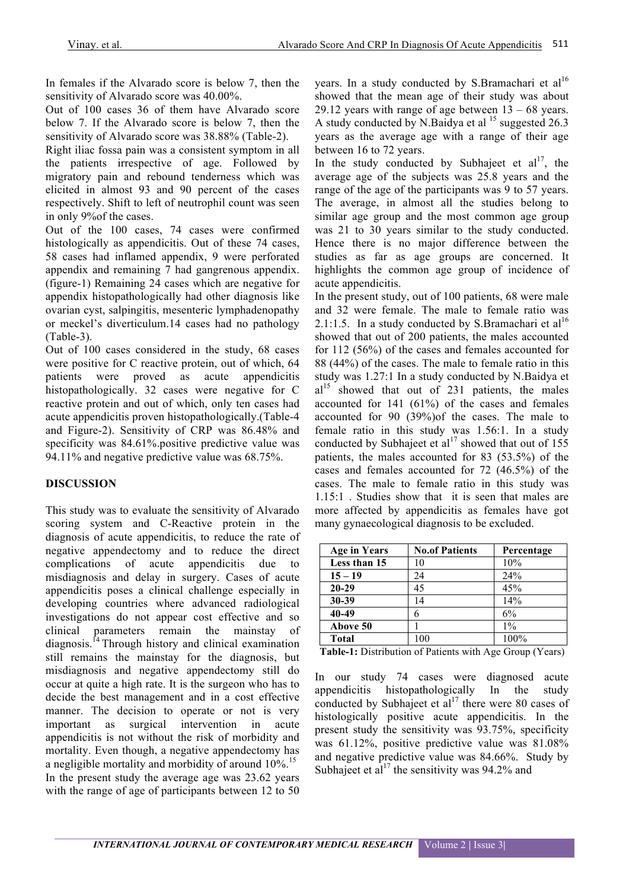In females if the Alvarado score is below 7, then the sensitivity of Alvarado score was 40.00%.

Out of 100 cases 36 of them have Alvarado score below 7. If the Alvarado score is below 7, then the sensitivity of Alvarado score was 38.88% (Table-2).

Right iliac fossa pain was a consistent symptom in all the patients irrespective of age. Followed by migratory pain and rebound tenderness which was elicited in almost 93 and 90 percent of the cases respectively. Shift to left of neutrophil count was seen in only 9%of the cases.

Out of the 100 cases, 74 cases were confirmed histologically as appendicitis. Out of these 74 cases, 58 cases had inflamed appendix, 9 were perforated appendix and remaining 7 had gangrenous appendix. (figure-1) Remaining 24 cases which are negative for appendix histopathologically had other diagnosis like ovarian cyst, salpingitis, mesenteric lymphadenopathy or meckel's diverticulum.14 cases had no pathology (Table-3).

Out of 100 cases considered in the study, 68 cases were positive for C reactive protein, out of which, 64 patients were proved as acute appendicitis histopathologically. 32 cases were negative for C reactive protein and out of which, only ten cases had acute appendicitis proven histopathologically.(Table-4 and Figure-2). Sensitivity of CRP was 86.48% and specificity was 84.61%.positive predictive value was 94.11% and negative predictive value was 68.75%.

# **DISCUSSION**

This study was to evaluate the sensitivity of Alvarado scoring system and C-Reactive protein in the diagnosis of acute appendicitis, to reduce the rate of negative appendectomy and to reduce the direct complications of acute appendicitis due misdiagnosis and delay in surgery. Cases of acute appendicitis poses a clinical challenge especially in developing countries where advanced radiological investigations do not appear cost effective and so clinical parameters remain the mainstay of diagnosis.<sup>14</sup> Through history and clinical examination still remains the mainstay for the diagnosis, but misdiagnosis and negative appendectomy still do occur at quite a high rate. It is the surgeon who has to decide the best management and in a cost effective manner. The decision to operate or not is very important as surgical intervention in acute appendicitis is not without the risk of morbidity and mortality. Even though, a negative appendectomy has a negligible mortality and morbidity of around 10%.<sup>15</sup> In the present study the average age was 23.62 years with the range of age of participants between 12 to 50 years. In a study conducted by S.Bramachari et al<sup>16</sup> showed that the mean age of their study was about 29.12 years with range of age between  $13 - 68$  years. A study conducted by N.Baidya et al  $15$  suggested 26.3 years as the average age with a range of their age between 16 to 72 years.

In the study conducted by Subhajeet et  $al<sup>17</sup>$ , the average age of the subjects was 25.8 years and the range of the age of the participants was 9 to 57 years. The average, in almost all the studies belong to similar age group and the most common age group was 21 to 30 years similar to the study conducted. Hence there is no major difference between the studies as far as age groups are concerned. It highlights the common age group of incidence of acute appendicitis.

In the present study, out of 100 patients, 68 were male and 32 were female. The male to female ratio was 2.1:1.5. In a study conducted by S.Bramachari et al<sup>16</sup> showed that out of 200 patients, the males accounted for 112 (56%) of the cases and females accounted for 88 (44%) of the cases. The male to female ratio in this study was 1.27:1 In a study conducted by N.Baidya et  $al<sup>15</sup>$  showed that out of 231 patients, the males accounted for 141 (61%) of the cases and females accounted for 90 (39%)of the cases. The male to female ratio in this study was 1.56:1. In a study conducted by Subhajeet et  $al^{17}$  showed that out of 155 patients, the males accounted for 83 (53.5%) of the cases and females accounted for 72 (46.5%) of the cases. The male to female ratio in this study was 1.15:1 . Studies show that it is seen that males are more affected by appendicitis as females have got many gynaecological diagnosis to be excluded.

| <b>Age in Years</b> | <b>No.of Patients</b> | Percentage |
|---------------------|-----------------------|------------|
| Less than 15        | 10                    | 10%        |
| $15 - 19$           | 24                    | 24%        |
| $20 - 29$           | 45                    | 45%        |
| $30 - 39$           | 14                    | 14%        |
| 40-49               | 6                     | 6%         |
| Above 50            |                       | $1\%$      |
| <b>Total</b>        | 100                   | 100%       |

**Table-1:** Distribution of Patients with Age Group (Years)

In our study 74 cases were diagnosed acute appendicitis histopathologically In the study conducted by Subhajeet et al<sup>17</sup> there were 80 cases of histologically positive acute appendicitis. In the present study the sensitivity was 93.75%, specificity was 61.12%, positive predictive value was 81.08% and negative predictive value was 84.66%. Study by Subhajeet et al<sup>17</sup> the sensitivity was 94.2% and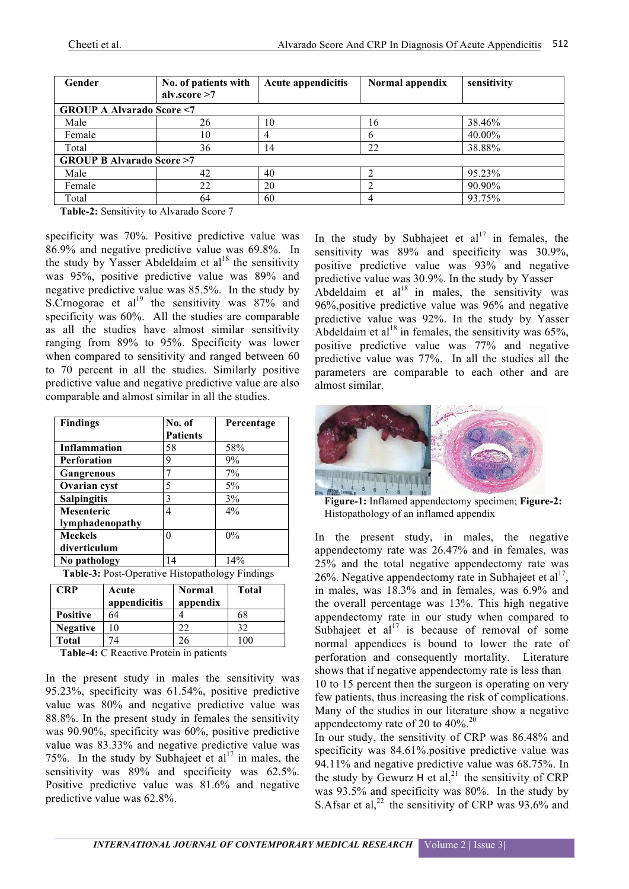| Gender                              | No. of patients with<br>alv.score >7 | <b>Acute appendicitis</b> | Normal appendix | sensitivity |  |
|-------------------------------------|--------------------------------------|---------------------------|-----------------|-------------|--|
| <b>GROUP A Alvarado Score &lt;7</b> |                                      |                           |                 |             |  |
| Male                                | 26                                   | 10                        | 16              | 38.46%      |  |
| Female                              | 10                                   |                           | b               | 40.00%      |  |
| Total                               | 36                                   | 14                        | 22              | 38.88%      |  |
| <b>GROUP B Alvarado Score &gt;7</b> |                                      |                           |                 |             |  |
| Male                                | 42                                   | 40                        |                 | 95.23%      |  |
| Female                              | 22                                   | 20                        |                 | 90.90%      |  |
| Total                               | 64                                   | 60                        | 4               | 93.75%      |  |

**Table-2:** Sensitivity to Alvarado Score 7

specificity was 70%. Positive predictive value was 86.9% and negative predictive value was 69.8%. In the study by Yasser Abdeldaim et  $al^{18}$  the sensitivity was 95%, positive predictive value was 89% and negative predictive value was 85.5%. In the study by S. Crnogorae et al<sup>19</sup> the sensitivity was  $87\%$  and specificity was 60%. All the studies are comparable as all the studies have almost similar sensitivity ranging from 89% to 95%. Specificity was lower when compared to sensitivity and ranged between 60 to 70 percent in all the studies. Similarly positive predictive value and negative predictive value are also comparable and almost similar in all the studies.

| <b>Findings</b>                                  | No. of          | Percentage |  |
|--------------------------------------------------|-----------------|------------|--|
|                                                  | <b>Patients</b> |            |  |
| <b>Inflammation</b>                              | 58              | 58%        |  |
| <b>Perforation</b>                               | 9               | 9%         |  |
| Gangrenous                                       | 7               | 7%         |  |
| Ovarian cyst                                     | 5               | 5%         |  |
| <b>Salpingitis</b>                               | 3               | 3%         |  |
| <b>Mesenteric</b>                                | 4               | 4%         |  |
| lymphadenopathy                                  |                 |            |  |
| <b>Meckels</b>                                   | 0               | 0%         |  |
| diverticulum                                     |                 |            |  |
| No pathology                                     | 14              | 14%        |  |
| Table 2. Dost Onarative Historichalgev: Eindings |                 |            |  |

**Table-3:** Post-Operative Histopathology Findings

| <b>CRP</b>      | Acute<br>appendicitis | <b>Normal</b><br>appendix | <b>Total</b> |
|-----------------|-----------------------|---------------------------|--------------|
| <b>Positive</b> | 64                    |                           | 68           |
| <b>Negative</b> | 10                    | 22                        | 32           |
| <b>Total</b>    |                       | 26                        | 100          |

**Table-4:** C Reactive Protein in patients

In the present study in males the sensitivity was 95.23%, specificity was 61.54%, positive predictive value was 80% and negative predictive value was 88.8%. In the present study in females the sensitivity was 90.90%, specificity was 60%, positive predictive value was 83.33% and negative predictive value was 75%. In the study by Subhajeet et  $al<sup>17</sup>$  in males, the sensitivity was 89% and specificity was 62.5%. Positive predictive value was 81.6% and negative predictive value was 62.8%.

In the study by Subhajeet et  $al<sup>17</sup>$  in females, the sensitivity was 89% and specificity was 30.9%, positive predictive value was 93% and negative predictive value was 30.9%. In the study by Yasser Abdeldaim et  $al^{18}$  in males, the sensitivity was 96%,positive predictive value was 96% and negative predictive value was 92%. In the study by Yasser Abdeldaim et al<sup>18</sup> in females, the sensitivity was  $65\%$ , positive predictive value was 77% and negative predictive value was 77%. In all the studies all the parameters are comparable to each other and are almost similar.



**Figure-1:** Inflamed appendectomy specimen; **Figure-2:**  Histopathology of an inflamed appendix

In the present study, in males, the negative appendectomy rate was 26.47% and in females, was 25% and the total negative appendectomy rate was 26%. Negative appendectomy rate in Subhajeet et  $al<sup>17</sup>$ , in males, was 18.3% and in females, was 6.9% and the overall percentage was 13%. This high negative appendectomy rate in our study when compared to Subhajeet et  $al^{17}$  is because of removal of some normal appendices is bound to lower the rate of perforation and consequently mortality. Literature shows that if negative appendectomy rate is less than 10 to 15 percent then the surgeon is operating on very few patients, thus increasing the risk of complications. Many of the studies in our literature show a negative appendectomy rate of 20 to 40%.<sup>20</sup>

In our study, the sensitivity of CRP was 86.48% and specificity was 84.61%.positive predictive value was 94.11% and negative predictive value was 68.75%. In the study by Gewurz H et al,<sup>21</sup> the sensitivity of CRP was 93.5% and specificity was 80%. In the study by S.Afsar et al,<sup>22</sup> the sensitivity of CRP was 93.6% and